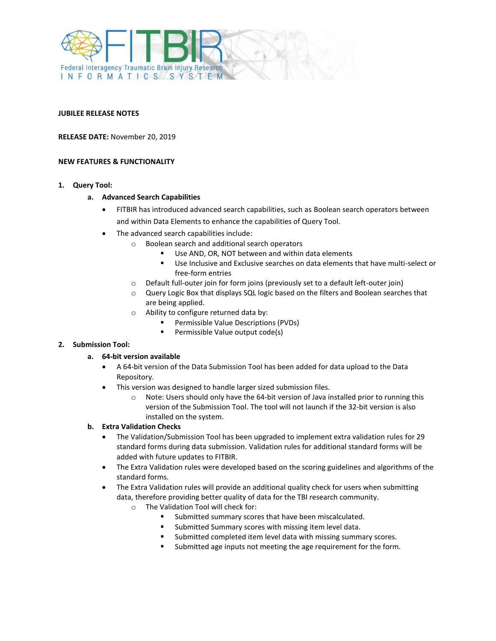

#### **JUBILEE RELEASE NOTES**

**RELEASE DATE:** November 20, 2019

#### **NEW FEATURES & FUNCTIONALITY**

**1. Query Tool:**

### **a. Advanced Search Capabilities**

- FITBIR has introduced advanced search capabilities, such as Boolean search operators between and within Data Elements to enhance the capabilities of Query Tool.
- The advanced search capabilities include:
	- o Boolean search and additional search operators
		- Use AND, OR, NOT between and within data elements
		- Use Inclusive and Exclusive searches on data elements that have multi-select or free-form entries
	- o Default full-outer join for form joins (previously set to a default left-outer join)
	- o Query Logic Box that displays SQL logic based on the filters and Boolean searches that are being applied.
	- o Ability to configure returned data by:
		- **Permissible Value Descriptions (PVDs)**
		- **Permissible Value output code(s)**

### **2. Submission Tool:**

### **a. 64-bit version available**

- A 64-bit version of the Data Submission Tool has been added for data upload to the Data Repository.
- This version was designed to handle larger sized submission files.
	- o Note: Users should only have the 64-bit version of Java installed prior to running this version of the Submission Tool. The tool will not launch if the 32-bit version is also installed on the system.

### **b. Extra Validation Checks**

- The Validation/Submission Tool has been upgraded to implement extra validation rules for 29 standard forms during data submission. Validation rules for additional standard forms will be added with future updates to FITBIR.
- The Extra Validation rules were developed based on the scoring guidelines and algorithms of the standard forms.
- The Extra Validation rules will provide an additional quality check for users when submitting data, therefore providing better quality of data for the TBI research community.
	- o The Validation Tool will check for:
		- Submitted summary scores that have been miscalculated.
		- Submitted Summary scores with missing item level data.
		- Submitted completed item level data with missing summary scores.
		- Submitted age inputs not meeting the age requirement for the form.